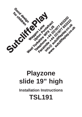

## **Playzone slide 19" high Installation Instructions TSL191**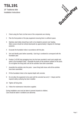**TSL191** 19" Traditional slide Installation Instructions



- 1 Check using the Parts List that none of the components are missing.
- 2 Plan the final position of the play equipment ensuring there is sufficient space.
- 3 Stainless steel slides should face north or be shaded to prevent over heating. Slide runouts should be inclined downwards by approximately 2 degrees for drainage purposes.
- 4 Excavate the foundation holes in accordance with the plan.
- 5 Sort and identify parts before assembly. Each leg is numbered to correspond with the foundation plan.
- 6 Position 2 off 300 long spragging irons into the hoes provided in each post upright and stand in the foundation holes. Assemble the decks at the positions marked on the posts. Do not tighten the fixing bolts until all the activities have been assembled.
- 7 Assemble the activities onto the posts. Leave fixing bolts loose until all the activities have been assembled.
- 8 Fill the foundation holes to the required depth with concrete.
- 9 Do not allow the equipment to be used until the concrete has set (2 3 days) and the required safety surfacing has been installed.
- 10 Tighten all fixing bolts.
- 11 Follow the maintenance instructions supplied.

During installation care must be taken to prevent hazards to children. Care should be taken if conditions are abnormal.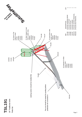